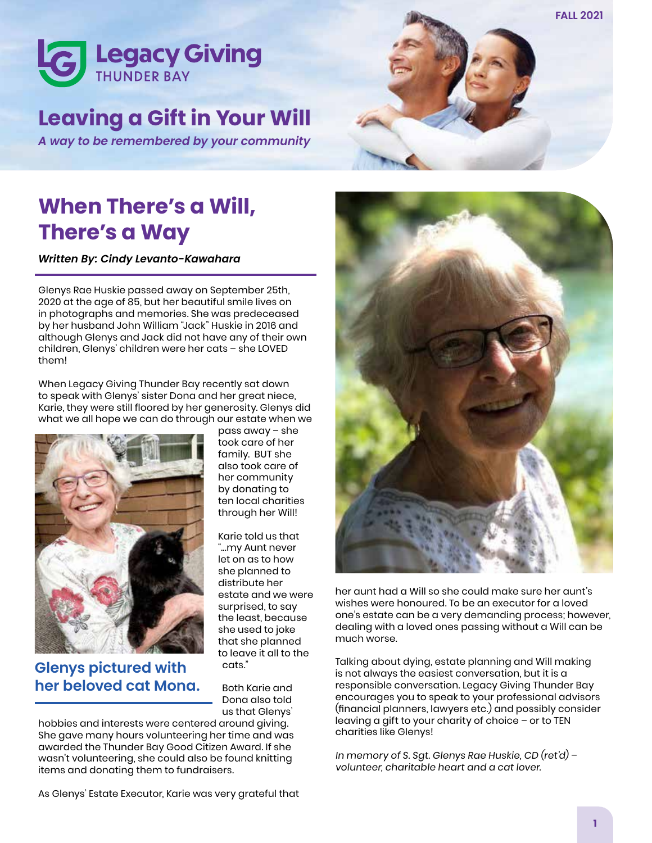

## **Leaving a Gift in Your Will**

*A way to be remembered by your community*



## **When There's a Will, There's a Way**

*Written By: Cindy Levanto-Kawahara*

Glenys Rae Huskie passed away on September 25th, 2020 at the age of 85, but her beautiful smile lives on in photographs and memories. She was predeceased by her husband John William "Jack" Huskie in 2016 and although Glenys and Jack did not have any of their own children, Glenys' children were her cats – she LOVED them!

When Legacy Giving Thunder Bay recently sat down to speak with Glenys' sister Dona and her great niece, Karie, they were still floored by her generosity. Glenys did what we all hope we can do through our estate when we



**Glenys pictured with her beloved cat Mona.** pass away – she took care of her family. BUT she also took care of her community by donating to ten local charities through her Will!

Karie told us that "…my Aunt never let on as to how she planned to distribute her estate and we were surprised, to say the least, because she used to joke that she planned to leave it all to the cats."

Both Karie and Dona also told us that Glenys'

hobbies and interests were centered around giving. She gave many hours volunteering her time and was awarded the Thunder Bay Good Citizen Award. If she wasn't volunteering, she could also be found knitting items and donating them to fundraisers.

As Glenys' Estate Executor, Karie was very grateful that



her aunt had a Will so she could make sure her aunt's wishes were honoured. To be an executor for a loved one's estate can be a very demanding process; however, dealing with a loved ones passing without a Will can be much worse.

Talking about dying, estate planning and Will making is not always the easiest conversation, but it is a responsible conversation. Legacy Giving Thunder Bay encourages you to speak to your professional advisors (financial planners, lawyers etc.) and possibly consider leaving a gift to your charity of choice – or to TEN charities like Glenys!

In memory of S. Sgt. Glenys Rae Huskie, CD (ret'd) – volunteer, charitable heart and a cat lover.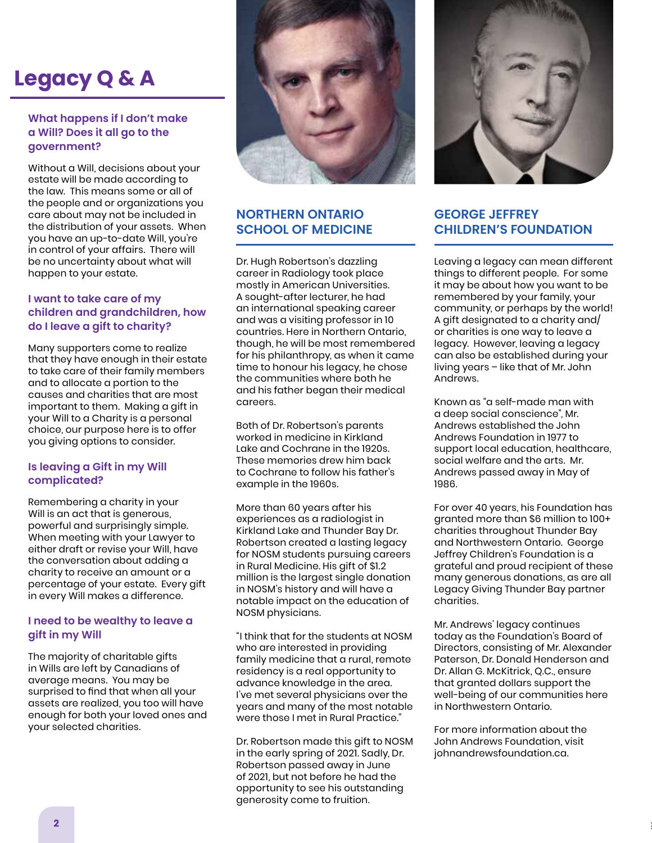## **Legacy Q & A**

#### **What happens if I don't make a Will? Does it all go to the government?**

Without a Will, decisions about your estate will be made according to the law. This means some or all of the people and or organizations you care about may not be included in the distribution of your assets. When you have an up-to-date Will, you're in control of your affairs. There will be no uncertainty about what will happen to your estate.

#### **I want to take care of my children and grandchildren, how do I leave a gift to charity?**

Many supporters come to realize that they have enough in their estate to take care of their family members and to allocate a portion to the causes and charities that are most important to them. Making a gift in your Will to a Charity is a personal choice, our purpose here is to offer you giving options to consider.

#### **Is leaving a Gift in my Will complicated?**

Remembering a charity in your Will is an act that is generous, powerful and surprisingly simple. When meeting with your Lawyer to either draft or revise your Will, have the conversation about adding a charity to receive an amount or a percentage of your estate. Every gift in every Will makes a difference.

#### **I need to be wealthy to leave a gift in my Will**

The majority of charitable gifts in Wills are left by Canadians of average means. You may be surprised to find that when all your assets are realized, you too will have enough for both your loved ones and your selected charities.



## **NORTHERN ONTARIO SCHOOL OF MEDICINE**

Dr. Hugh Robertson's dazzling career in Radiology took place mostly in American Universities. A sought-after lecturer, he had an international speaking career and was a visiting professor in 10 countries. Here in Northern Ontario, though, he will be most remembered for his philanthropy, as when it came time to honour his legacy, he chose the communities where both he and his father began their medical careers.

Both of Dr. Robertson's parents worked in medicine in Kirkland Lake and Cochrane in the 1920s. These memories drew him back to Cochrane to follow his father's example in the 1960s.

More than 60 years after his experiences as a radiologist in Kirkland Lake and Thunder Bay Dr. Robertson created a lasting legacy for NOSM students pursuing careers in Rural Medicine. His gift of \$1.2 million is the largest single donation in NOSM's history and will have a notable impact on the education of NOSM physicians.

"I think that for the students at NOSM who are interested in providing family medicine that a rural, remote residency is a real opportunity to advance knowledge in the area. I've met several physicians over the years and many of the most notable were those I met in Rural Practice."

Dr. Robertson made this gift to NOSM in the early spring of 2021. Sadly, Dr. Robertson passed away in June of 2021, but not before he had the opportunity to see his outstanding generosity come to fruition.



## **GEORGE JEFFREY CHILDREN'S FOUNDATION**

Leaving a legacy can mean different things to different people. For some it may be about how you want to be remembered by your family, your community, or perhaps by the world! A gift designated to a charity and/ or charities is one way to leave a legacy. However, leaving a legacy can also be established during your living years – like that of Mr. John Andrews.

Known as "a self-made man with a deep social conscience", Mr. Andrews established the John Andrews Foundation in 1977 to support local education, healthcare, social welfare and the arts. Mr. Andrews passed away in May of 1986.

For over 40 years, his Foundation has granted more than \$6 million to 100+ charities throughout Thunder Bay and Northwestern Ontario. George Jeffrey Children's Foundation is a grateful and proud recipient of these many generous donations, as are all Legacy Giving Thunder Bay partner charities.

Mr. Andrews' legacy continues today as the Foundation's Board of Directors, consisting of Mr. Alexander Paterson, Dr. Donald Henderson and Dr. Allan G. McKitrick, Q.C., ensure that granted dollars support the well-being of our communities here in Northwestern Ontario.

For more information about the John Andrews Foundation, visit johnandrewsfoundation.ca.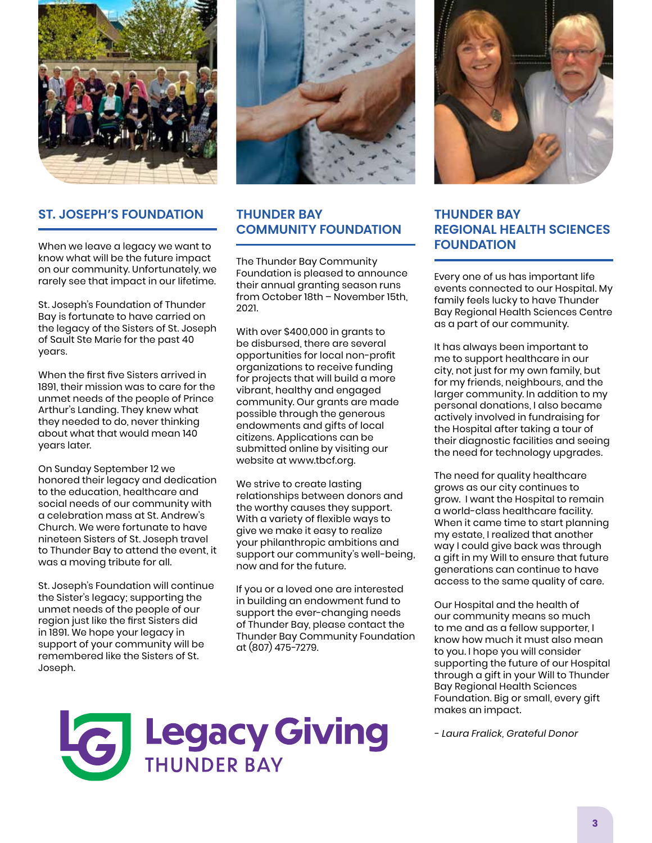

#### **ST. JOSEPH'S FOUNDATION**

When we leave a legacy we want to know what will be the future impact on our community. Unfortunately, we rarely see that impact in our lifetime.

St. Joseph's Foundation of Thunder Bay is fortunate to have carried on the legacy of the Sisters of St. Joseph of Sault Ste Marie for the past 40 years.

When the first five Sisters arrived in 1891, their mission was to care for the unmet needs of the people of Prince Arthur's Landing. They knew what they needed to do, never thinking about what that would mean 140 years later.

On Sunday September 12 we honored their legacy and dedication to the education, healthcare and social needs of our community with a celebration mass at St. Andrew's Church. We were fortunate to have nineteen Sisters of St. Joseph travel to Thunder Bay to attend the event, it was a moving tribute for all.

St. Joseph's Foundation will continue the Sister's legacy; supporting the unmet needs of the people of our region just like the first Sisters did in 1891. We hope your legacy in support of your community will be remembered like the Sisters of St. Joseph.



### **THUNDER BAY COMMUNITY FOUNDATION**

The Thunder Bay Community Foundation is pleased to announce their annual granting season runs from October 18th – November 15th, 2021.

With over \$400,000 in grants to be disbursed, there are several opportunities for local non-profit organizations to receive funding for projects that will build a more vibrant, healthy and engaged community. Our grants are made possible through the generous endowments and gifts of local citizens. Applications can be submitted online by visiting our website at www.tbcf.org.

We strive to create lasting relationships between donors and the worthy causes they support. With a variety of flexible ways to give we make it easy to realize your philanthropic ambitions and support our community's well-being, now and for the future.

If you or a loved one are interested in building an endowment fund to support the ever-changing needs of Thunder Bay, please contact the Thunder Bay Community Foundation at (807) 475-7279.



## **THUNDER BAY REGIONAL HEALTH SCIENCES FOUNDATION**

Every one of us has important life events connected to our Hospital. My family feels lucky to have Thunder Bay Regional Health Sciences Centre as a part of our community.

It has always been important to me to support healthcare in our city, not just for my own family, but for my friends, neighbours, and the larger community. In addition to my personal donations, I also became actively involved in fundraising for the Hospital after taking a tour of their diagnostic facilities and seeing the need for technology upgrades.

The need for quality healthcare grows as our city continues to grow. I want the Hospital to remain a world-class healthcare facility. When it came time to start planning my estate, I realized that another way I could give back was through a gift in my Will to ensure that future generations can continue to have access to the same quality of care.

Our Hospital and the health of our community means so much to me and as a fellow supporter, I know how much it must also mean to you. I hope you will consider supporting the future of our Hospital through a gift in your Will to Thunder Bay Regional Health Sciences Foundation. Big or small, every gift makes an impact.

- Laura Fralick, Grateful Donor